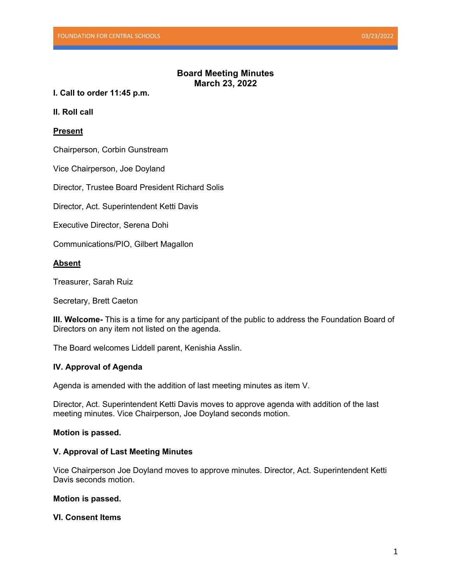## **Board Meeting Minutes March 23, 2022**

**I. Call to order 11:45 p.m.**

**II. Roll call**

## **Present**

Chairperson, Corbin Gunstream

Vice Chairperson, Joe Doyland

Director, Trustee Board President Richard Solis

Director, Act. Superintendent Ketti Davis

Executive Director, Serena Dohi

Communications/PIO, Gilbert Magallon

## **Absent**

Treasurer, Sarah Ruiz

Secretary, Brett Caeton

**III. Welcome-** This is a time for any participant of the public to address the Foundation Board of Directors on any item not listed on the agenda.

The Board welcomes Liddell parent, Kenishia Asslin.

## **IV. Approval of Agenda**

Agenda is amended with the addition of last meeting minutes as item V.

Director, Act. Superintendent Ketti Davis moves to approve agenda with addition of the last meeting minutes. Vice Chairperson, Joe Doyland seconds motion.

#### **Motion is passed.**

#### **V. Approval of Last Meeting Minutes**

Vice Chairperson Joe Doyland moves to approve minutes. Director, Act. Superintendent Ketti Davis seconds motion.

#### **Motion is passed.**

## **VI. Consent Items**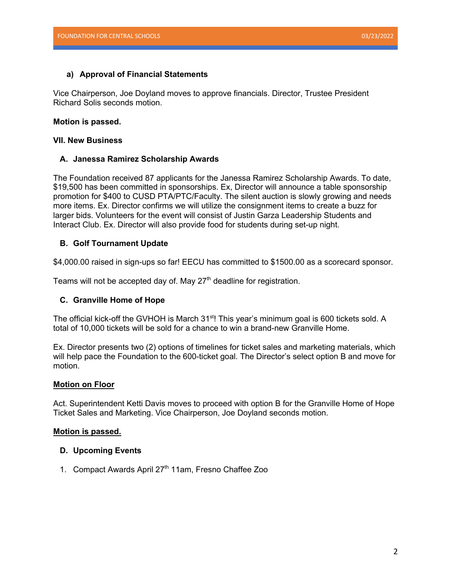#### **a) Approval of Financial Statements**

Vice Chairperson, Joe Doyland moves to approve financials. Director, Trustee President Richard Solis seconds motion.

#### **Motion is passed.**

#### **VII. New Business**

#### **A. Janessa Ramirez Scholarship Awards**

The Foundation received 87 applicants for the Janessa Ramirez Scholarship Awards. To date, \$19,500 has been committed in sponsorships. Ex, Director will announce a table sponsorship promotion for \$400 to CUSD PTA/PTC/Faculty. The silent auction is slowly growing and needs more items. Ex. Director confirms we will utilize the consignment items to create a buzz for larger bids. Volunteers for the event will consist of Justin Garza Leadership Students and Interact Club. Ex. Director will also provide food for students during set-up night.

#### **B. Golf Tournament Update**

\$4,000.00 raised in sign-ups so far! EECU has committed to \$1500.00 as a scorecard sponsor.

Teams will not be accepted day of. May  $27<sup>th</sup>$  deadline for registration.

## **C. Granville Home of Hope**

The official kick-off the GVHOH is March 31<sup>st</sup>! This year's minimum goal is 600 tickets sold. A total of 10,000 tickets will be sold for a chance to win a brand-new Granville Home.

Ex. Director presents two (2) options of timelines for ticket sales and marketing materials, which will help pace the Foundation to the 600-ticket goal. The Director's select option B and move for motion.

#### **Motion on Floor**

Act. Superintendent Ketti Davis moves to proceed with option B for the Granville Home of Hope Ticket Sales and Marketing. Vice Chairperson, Joe Doyland seconds motion.

#### **Motion is passed.**

#### **D. Upcoming Events**

1. Compact Awards April 27<sup>th</sup> 11am, Fresno Chaffee Zoo